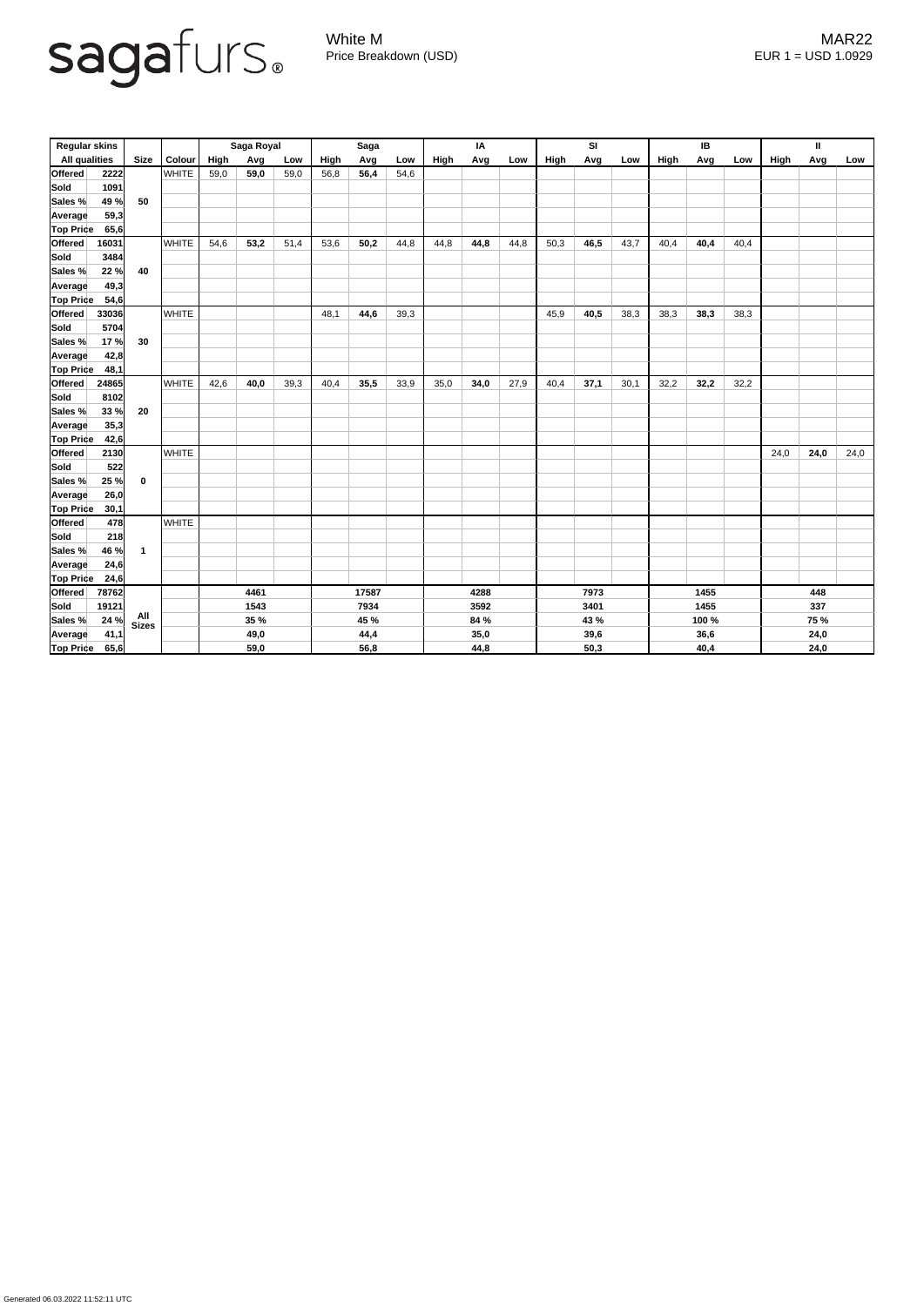

Generated 06.03.2022 11:52:11 UTC

White M MAR22 Price Breakdown (USD) error and the USD 1.0929

| <b>Regular skins</b> |       |                  |              | Saga Royal  |      |      | <b>Saga</b> |      |      | IA   |      |      | <b>SI</b> |      |      | IB   |       |      | $\mathbf{I}$ |             |      |  |
|----------------------|-------|------------------|--------------|-------------|------|------|-------------|------|------|------|------|------|-----------|------|------|------|-------|------|--------------|-------------|------|--|
| <b>All qualities</b> |       | <b>Size</b>      | Colour       | High        | Avg  | Low  | High        | Avg  | Low  | High | Avg  | Low  | High      | Avg  | Low  | High | Avg   | Low  | <b>High</b>  | Avg         | Low  |  |
| <b>Offered</b>       | 2222  |                  | <b>WHITE</b> | 59,0        | 59,0 | 59,0 | 56,8        | 56,4 | 54,6 |      |      |      |           |      |      |      |       |      |              |             |      |  |
| <b>Sold</b>          | 1091  |                  |              |             |      |      |             |      |      |      |      |      |           |      |      |      |       |      |              |             |      |  |
| Sales %              | 49 %  | 50               |              |             |      |      |             |      |      |      |      |      |           |      |      |      |       |      |              |             |      |  |
| Average              | 59,3  |                  |              |             |      |      |             |      |      |      |      |      |           |      |      |      |       |      |              |             |      |  |
| <b>Top Price</b>     | 65,6  |                  |              |             |      |      |             |      |      |      |      |      |           |      |      |      |       |      |              |             |      |  |
| <b>Offered</b>       | 16031 |                  | <b>WHITE</b> | 54,6        | 53,2 | 51,4 | 53,6        | 50,2 | 44,8 | 44,8 | 44,8 | 44,8 | 50,3      | 46,5 | 43,7 | 40,4 | 40,4  | 40,4 |              |             |      |  |
| Sold                 | 3484  |                  |              |             |      |      |             |      |      |      |      |      |           |      |      |      |       |      |              |             |      |  |
| Sales %              | 22%   | 40               |              |             |      |      |             |      |      |      |      |      |           |      |      |      |       |      |              |             |      |  |
| <b>Average</b>       | 49,3  |                  |              |             |      |      |             |      |      |      |      |      |           |      |      |      |       |      |              |             |      |  |
| <b>Top Price</b>     | 54,6  |                  |              |             |      |      |             |      |      |      |      |      |           |      |      |      |       |      |              |             |      |  |
| <b>Offered</b>       | 33036 |                  | <b>WHITE</b> |             |      |      | 48,1        | 44,6 | 39,3 |      |      |      | 45,9      | 40,5 | 38,3 | 38,3 | 38,3  | 38,3 |              |             |      |  |
| <b>Sold</b>          | 5704  |                  |              |             |      |      |             |      |      |      |      |      |           |      |      |      |       |      |              |             |      |  |
| <b>Sales %</b>       | 17%   | 30               |              |             |      |      |             |      |      |      |      |      |           |      |      |      |       |      |              |             |      |  |
| <b>Average</b>       | 42,8  |                  |              |             |      |      |             |      |      |      |      |      |           |      |      |      |       |      |              |             |      |  |
| Top Price            | 48,1  |                  |              |             |      |      |             |      |      |      |      |      |           |      |      |      |       |      |              |             |      |  |
| <b>Offered</b>       | 24865 |                  | <b>WHITE</b> | 42,6        | 40,0 | 39,3 | 40,4        | 35,5 | 33,9 | 35,0 | 34,0 | 27,9 | 40,4      | 37,1 | 30,1 | 32,2 | 32,2  | 32,2 |              |             |      |  |
| Sold                 | 8102  |                  |              |             |      |      |             |      |      |      |      |      |           |      |      |      |       |      |              |             |      |  |
| Sales %              | 33%   | 20               |              |             |      |      |             |      |      |      |      |      |           |      |      |      |       |      |              |             |      |  |
| <b>Average</b>       | 35,3  |                  |              |             |      |      |             |      |      |      |      |      |           |      |      |      |       |      |              |             |      |  |
| <b>Top Price</b>     | 42,6  |                  |              |             |      |      |             |      |      |      |      |      |           |      |      |      |       |      |              |             |      |  |
| <b>Offered</b>       | 2130  |                  | <b>WHITE</b> |             |      |      |             |      |      |      |      |      |           |      |      |      |       |      | 24,0         | 24,0        | 24,0 |  |
| Sold                 | 522   |                  |              |             |      |      |             |      |      |      |      |      |           |      |      |      |       |      |              |             |      |  |
| <b>Sales %</b>       | 25%   | $\boldsymbol{0}$ |              |             |      |      |             |      |      |      |      |      |           |      |      |      |       |      |              |             |      |  |
| Average              | 26,0  |                  |              |             |      |      |             |      |      |      |      |      |           |      |      |      |       |      |              |             |      |  |
| <b>Top Price</b>     | 30,1  |                  |              |             |      |      |             |      |      |      |      |      |           |      |      |      |       |      |              |             |      |  |
| Offered              | 478   |                  | <b>WHITE</b> |             |      |      |             |      |      |      |      |      |           |      |      |      |       |      |              |             |      |  |
| <b>Sold</b>          | 218   |                  |              |             |      |      |             |      |      |      |      |      |           |      |      |      |       |      |              |             |      |  |
| Sales %              | 46 %  | $\overline{1}$   |              |             |      |      |             |      |      |      |      |      |           |      |      |      |       |      |              |             |      |  |
| Average              | 24,6  |                  |              |             |      |      |             |      |      |      |      |      |           |      |      |      |       |      |              |             |      |  |
| <b>Top Price</b>     | 24,6  |                  |              |             |      |      |             |      |      |      |      |      |           |      |      |      |       |      |              |             |      |  |
| <b>Offered</b>       | 78762 |                  |              | 4461        |      |      | 17587       |      |      | 4288 |      |      | 7973      |      |      | 1455 |       |      | 448          |             |      |  |
| Sold                 | 19121 |                  |              | 1543        |      |      | 7934        |      |      | 3592 |      |      | 3401      |      |      | 1455 |       |      | 337          |             |      |  |
| Sales %              | 24%   | All<br>Sizes     |              | <b>35 %</b> |      |      | 45 %        |      |      |      | 84 % |      |           | 43 % |      |      | 100 % |      |              | <b>75 %</b> |      |  |
| Average              | 41,1  |                  |              | 49,0        |      |      | 44,4        |      |      | 35,0 |      |      | 39,6      |      |      | 36,6 |       |      | 24,0         |             |      |  |
| <b>Top Price</b>     | 65,6  |                  |              |             | 59,0 |      |             | 56,8 |      |      | 44,8 |      |           | 50,3 |      |      | 40,4  |      |              | 24,0        |      |  |